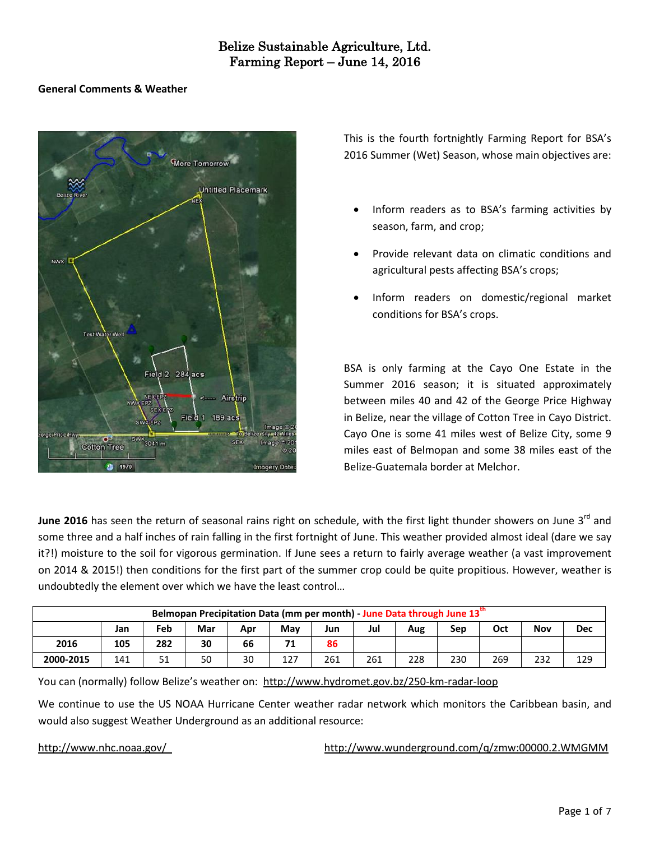### **General Comments & Weather**



This is the fourth fortnightly Farming Report for BSA's 2016 Summer (Wet) Season, whose main objectives are:

- Inform readers as to BSA's farming activities by season, farm, and crop;
- Provide relevant data on climatic conditions and agricultural pests affecting BSA's crops;
- Inform readers on domestic/regional market conditions for BSA's crops.

BSA is only farming at the Cayo One Estate in the Summer 2016 season; it is situated approximately between miles 40 and 42 of the George Price Highway in Belize, near the village of Cotton Tree in Cayo District. Cayo One is some 41 miles west of Belize City, some 9 miles east of Belmopan and some 38 miles east of the Belize-Guatemala border at Melchor.

**June 2016** has seen the return of seasonal rains right on schedule, with the first light thunder showers on June 3<sup>rd</sup> and some three and a half inches of rain falling in the first fortnight of June. This weather provided almost ideal (dare we say it?!) moisture to the soil for vigorous germination. If June sees a return to fairly average weather (a vast improvement on 2014 & 2015!) then conditions for the first part of the summer crop could be quite propitious. However, weather is undoubtedly the element over which we have the least control…

| Belmopan Precipitation Data (mm per month) - June Data through June 13th |     |                                                                    |    |    |     |     |     |     |     |     |            |     |  |
|--------------------------------------------------------------------------|-----|--------------------------------------------------------------------|----|----|-----|-----|-----|-----|-----|-----|------------|-----|--|
|                                                                          | Jan | Jul<br>Feb<br>Mar<br>Oct<br>Mav<br>Nov<br>Sep<br>Jun<br>Aug<br>Apr |    |    |     |     |     |     |     |     | <b>Dec</b> |     |  |
| 2016                                                                     | 105 | 282                                                                | 30 | 66 | 71  | 86  |     |     |     |     |            |     |  |
| 2000-2015                                                                | 141 | 51                                                                 | 50 | 30 | 127 | 261 | 261 | 228 | 230 | 269 | 232        | 129 |  |

You can (normally) follow Belize's weather on: <http://www.hydromet.gov.bz/250-km-radar-loop>

We continue to use the US NOAA Hurricane Center weather radar network which monitors the Caribbean basin, and would also suggest Weather Underground as an additional resource:

<http://www.nhc.noaa.gov/><http://www.wunderground.com/q/zmw:00000.2.WMGMM>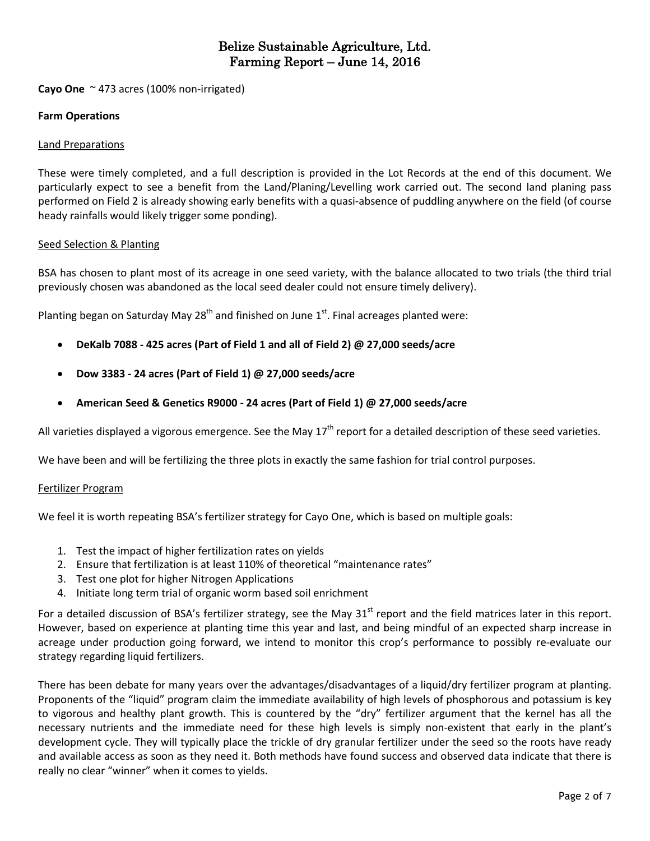**Cayo One** ~ 473 acres (100% non-irrigated)

### **Farm Operations**

### Land Preparations

These were timely completed, and a full description is provided in the Lot Records at the end of this document. We particularly expect to see a benefit from the Land/Planing/Levelling work carried out. The second land planing pass performed on Field 2 is already showing early benefits with a quasi-absence of puddling anywhere on the field (of course heady rainfalls would likely trigger some ponding).

### Seed Selection & Planting

BSA has chosen to plant most of its acreage in one seed variety, with the balance allocated to two trials (the third trial previously chosen was abandoned as the local seed dealer could not ensure timely delivery).

Planting began on Saturday May 28<sup>th</sup> and finished on June 1<sup>st</sup>. Final acreages planted were:

- **DeKalb 7088 - 425 acres (Part of Field 1 and all of Field 2) @ 27,000 seeds/acre**
- **Dow 3383 - 24 acres (Part of Field 1) @ 27,000 seeds/acre**
- **American Seed & Genetics R9000 - 24 acres (Part of Field 1) @ 27,000 seeds/acre**

All varieties displayed a vigorous emergence. See the May  $17<sup>th</sup>$  report for a detailed description of these seed varieties.

We have been and will be fertilizing the three plots in exactly the same fashion for trial control purposes.

#### Fertilizer Program

We feel it is worth repeating BSA's fertilizer strategy for Cayo One, which is based on multiple goals:

- 1. Test the impact of higher fertilization rates on yields
- 2. Ensure that fertilization is at least 110% of theoretical "maintenance rates"
- 3. Test one plot for higher Nitrogen Applications
- 4. Initiate long term trial of organic worm based soil enrichment

For a detailed discussion of BSA's fertilizer strategy, see the May  $31^{st}$  report and the field matrices later in this report. However, based on experience at planting time this year and last, and being mindful of an expected sharp increase in acreage under production going forward, we intend to monitor this crop's performance to possibly re-evaluate our strategy regarding liquid fertilizers.

There has been debate for many years over the advantages/disadvantages of a liquid/dry fertilizer program at planting. Proponents of the "liquid" program claim the immediate availability of high levels of phosphorous and potassium is key to vigorous and healthy plant growth. This is countered by the "dry" fertilizer argument that the kernel has all the necessary nutrients and the immediate need for these high levels is simply non-existent that early in the plant's development cycle. They will typically place the trickle of dry granular fertilizer under the seed so the roots have ready and available access as soon as they need it. Both methods have found success and observed data indicate that there is really no clear "winner" when it comes to yields.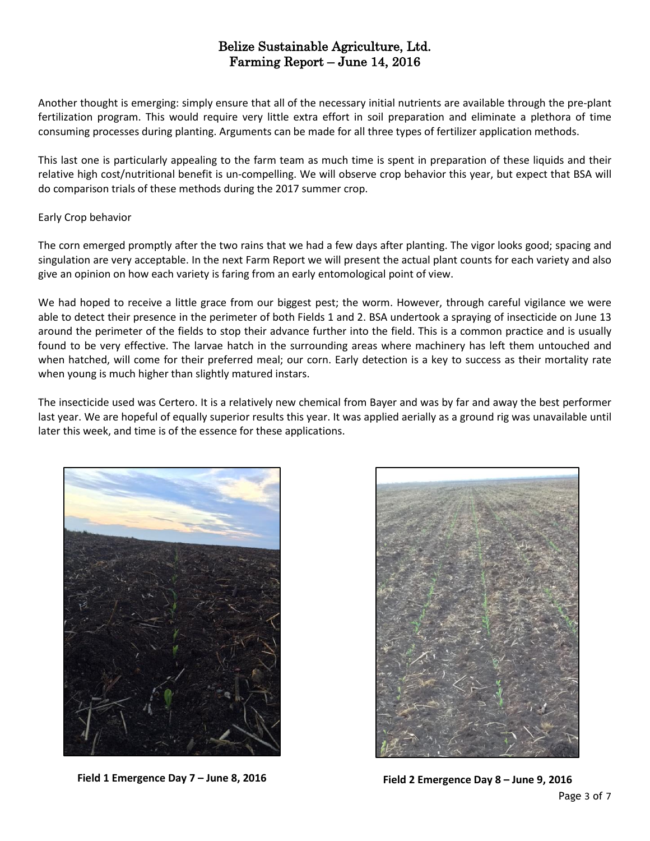Another thought is emerging: simply ensure that all of the necessary initial nutrients are available through the pre-plant fertilization program. This would require very little extra effort in soil preparation and eliminate a plethora of time consuming processes during planting. Arguments can be made for all three types of fertilizer application methods.

This last one is particularly appealing to the farm team as much time is spent in preparation of these liquids and their relative high cost/nutritional benefit is un-compelling. We will observe crop behavior this year, but expect that BSA will do comparison trials of these methods during the 2017 summer crop.

### Early Crop behavior

The corn emerged promptly after the two rains that we had a few days after planting. The vigor looks good; spacing and singulation are very acceptable. In the next Farm Report we will present the actual plant counts for each variety and also give an opinion on how each variety is faring from an early entomological point of view.

We had hoped to receive a little grace from our biggest pest; the worm. However, through careful vigilance we were able to detect their presence in the perimeter of both Fields 1 and 2. BSA undertook a spraying of insecticide on June 13 around the perimeter of the fields to stop their advance further into the field. This is a common practice and is usually found to be very effective. The larvae hatch in the surrounding areas where machinery has left them untouched and when hatched, will come for their preferred meal; our corn. Early detection is a key to success as their mortality rate when young is much higher than slightly matured instars.

The insecticide used was Certero. It is a relatively new chemical from Bayer and was by far and away the best performer last year. We are hopeful of equally superior results this year. It was applied aerially as a ground rig was unavailable until later this week, and time is of the essence for these applications.





**Field 1 Emergence Day 7 – June 8, 2016 Field 2 Emergence Day 8 – June 9, 2016**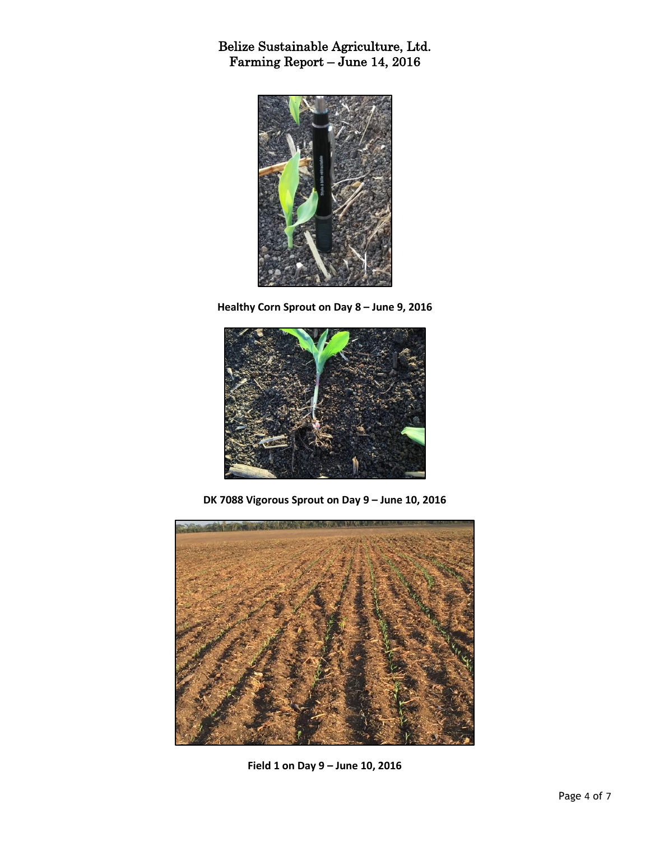

**Healthy Corn Sprout on Day 8 – June 9, 2016**



**DK 7088 Vigorous Sprout on Day 9 – June 10, 2016**



**Field 1 on Day 9 – June 10, 2016**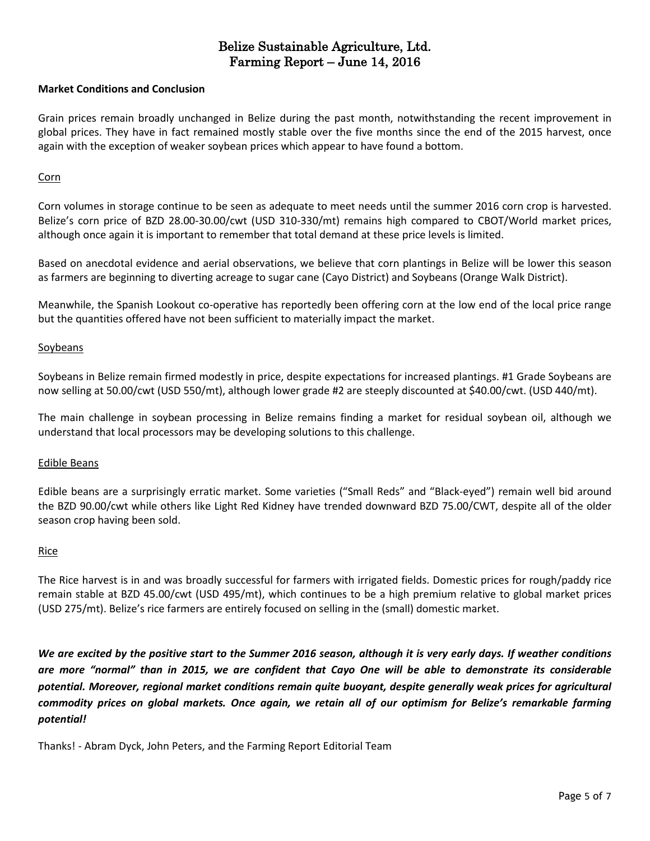### **Market Conditions and Conclusion**

Grain prices remain broadly unchanged in Belize during the past month, notwithstanding the recent improvement in global prices. They have in fact remained mostly stable over the five months since the end of the 2015 harvest, once again with the exception of weaker soybean prices which appear to have found a bottom.

### Corn

Corn volumes in storage continue to be seen as adequate to meet needs until the summer 2016 corn crop is harvested. Belize's corn price of BZD 28.00-30.00/cwt (USD 310-330/mt) remains high compared to CBOT/World market prices, although once again it is important to remember that total demand at these price levels is limited.

Based on anecdotal evidence and aerial observations, we believe that corn plantings in Belize will be lower this season as farmers are beginning to diverting acreage to sugar cane (Cayo District) and Soybeans (Orange Walk District).

Meanwhile, the Spanish Lookout co-operative has reportedly been offering corn at the low end of the local price range but the quantities offered have not been sufficient to materially impact the market.

### Soybeans

Soybeans in Belize remain firmed modestly in price, despite expectations for increased plantings. #1 Grade Soybeans are now selling at 50.00/cwt (USD 550/mt), although lower grade #2 are steeply discounted at \$40.00/cwt. (USD 440/mt).

The main challenge in soybean processing in Belize remains finding a market for residual soybean oil, although we understand that local processors may be developing solutions to this challenge.

#### Edible Beans

Edible beans are a surprisingly erratic market. Some varieties ("Small Reds" and "Black-eyed") remain well bid around the BZD 90.00/cwt while others like Light Red Kidney have trended downward BZD 75.00/CWT, despite all of the older season crop having been sold.

#### Rice

The Rice harvest is in and was broadly successful for farmers with irrigated fields. Domestic prices for rough/paddy rice remain stable at BZD 45.00/cwt (USD 495/mt), which continues to be a high premium relative to global market prices (USD 275/mt). Belize's rice farmers are entirely focused on selling in the (small) domestic market.

We are excited by the positive start to the Summer 2016 season, although it is very early days. If weather conditions are more "normal" than in 2015, we are confident that Cayo One will be able to demonstrate its considerable *potential. Moreover, regional market conditions remain quite buoyant, despite generally weak prices for agricultural* commodity prices on global markets. Once again, we retain all of our optimism for Belize's remarkable farming *potential!*

Thanks! - Abram Dyck, John Peters, and the Farming Report Editorial Team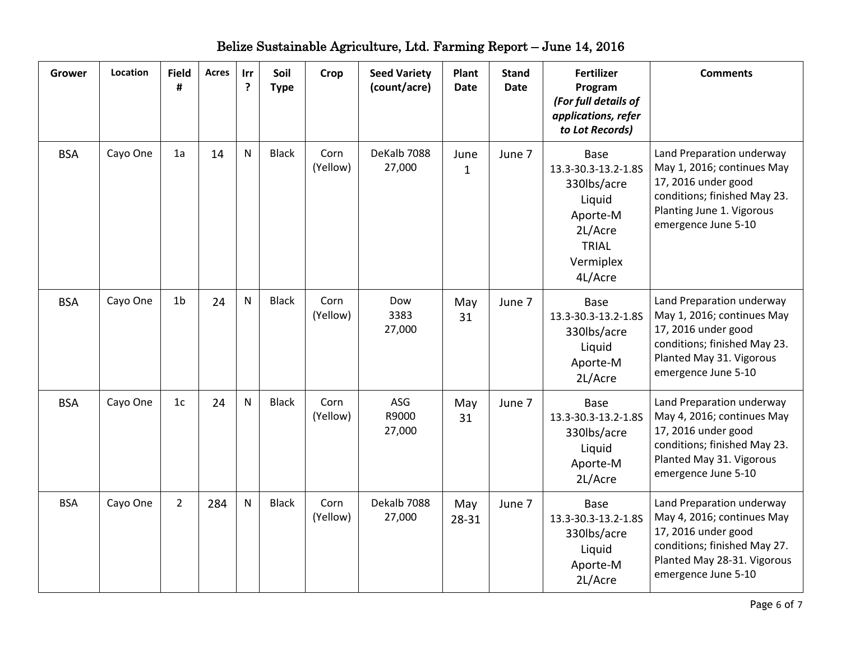| <b>Grower</b> | Location | <b>Field</b><br># | <b>Acres</b> | Irr<br>? | Soil<br><b>Type</b> | Crop             | <b>Seed Variety</b><br>(count/acre) | Plant<br><b>Date</b> | <b>Stand</b><br><b>Date</b> | <b>Fertilizer</b><br>Program<br>(For full details of<br>applications, refer<br>to Lot Records)                      | <b>Comments</b>                                                                                                                                                      |
|---------------|----------|-------------------|--------------|----------|---------------------|------------------|-------------------------------------|----------------------|-----------------------------|---------------------------------------------------------------------------------------------------------------------|----------------------------------------------------------------------------------------------------------------------------------------------------------------------|
| <b>BSA</b>    | Cayo One | 1a                | 14           | N        | <b>Black</b>        | Corn<br>(Yellow) | DeKalb 7088<br>27,000               | June<br>$\mathbf{1}$ | June 7                      | Base<br>13.3-30.3-13.2-1.8S<br>330lbs/acre<br>Liquid<br>Aporte-M<br>2L/Acre<br><b>TRIAL</b><br>Vermiplex<br>4L/Acre | Land Preparation underway<br>May 1, 2016; continues May<br>17, 2016 under good<br>conditions; finished May 23.<br>Planting June 1. Vigorous<br>emergence June 5-10   |
| <b>BSA</b>    | Cayo One | 1 <sub>b</sub>    | 24           | N        | <b>Black</b>        | Corn<br>(Yellow) | Dow<br>3383<br>27,000               | May<br>31            | June 7                      | Base<br>13.3-30.3-13.2-1.8S<br>330lbs/acre<br>Liquid<br>Aporte-M<br>2L/Acre                                         | Land Preparation underway<br>May 1, 2016; continues May<br>17, 2016 under good<br>conditions; finished May 23.<br>Planted May 31. Vigorous<br>emergence June 5-10    |
| <b>BSA</b>    | Cayo One | 1 <sub>c</sub>    | 24           | N        | <b>Black</b>        | Corn<br>(Yellow) | ASG<br>R9000<br>27,000              | May<br>31            | June 7                      | <b>Base</b><br>13.3-30.3-13.2-1.8S<br>330lbs/acre<br>Liquid<br>Aporte-M<br>2L/Acre                                  | Land Preparation underway<br>May 4, 2016; continues May<br>17, 2016 under good<br>conditions; finished May 23.<br>Planted May 31. Vigorous<br>emergence June 5-10    |
| <b>BSA</b>    | Cayo One | $\overline{2}$    | 284          | N        | <b>Black</b>        | Corn<br>(Yellow) | Dekalb 7088<br>27,000               | May<br>28-31         | June 7                      | <b>Base</b><br>13.3-30.3-13.2-1.8S<br>330lbs/acre<br>Liquid<br>Aporte-M<br>2L/Acre                                  | Land Preparation underway<br>May 4, 2016; continues May<br>17, 2016 under good<br>conditions; finished May 27.<br>Planted May 28-31. Vigorous<br>emergence June 5-10 |